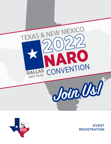



EVENT REGISTRATION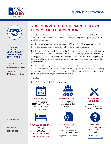



## 2022 NARO TEXAS & NEW MEXICO **CONVENTION COMMITTEE**

#### **JOHN B COLLIER** V, CMM Texas Chapter President

JACK FLEET NARO Executive Director

7030 S. Yale Avenue Suite 404 Tulsa, OK, 74136 (918) 794-1660

## YOU'RE INVITED TO THE NARO TEXAS & NEW MEXICO CONVENTION!

The National Association of Royalty Owners, Texas Chapter is dedicated to the education of mineral and royalty owners. We are planning another great program for the 2022 convention!

Our last two conventions have drawn nearly 350 attendees. We expect another full house this year and space is limited, so please do not wait to register.

Royalty owners charged with managing the development of their minerals will want to be armed with the latest information and NARO is their support system. Many things are happening in the industry and the convention committee has worked diligently to bring you a line-up to cover topics we feel are important. You don't want to miss this year's convention.

For those just learning mineral ownership or if you just want a refresher, don't miss Mineral Management 101, our three-hour introductory course. We are having a full day of two track seminars- beginners and advanced. There is an early-bird member rate of \$425 and space is limited, so please register today!

John 5 lollin<sup>7</sup>

John B Collier V, NARO Texas President



**JULY 13–16, 2022**

Westin Galleria 13340 Dallas Parkway Dallas, Tx 75240 (972) 934-9494



**SPECIAL ROOM RATE**

\$ 152/night Ask for NARO Room Rate, Group Code "NARO"

## **ENDS JUNE 22RD**



Event Registration Is Limited To 400 Attendees



### **CMM REVIEW & EXAMS**

Contact Patti West for Questions or Registration

[registrar@naro-us.org](mailto:registrar%40naro-us.org?subject=CMM%20Review%20or%20Exam%20Inquiry)



Breakfast, Lunch, Receptions, Seminars & Attendee Materials



Contact the NARO National Office Jack Fleet

(918)794-1660 [jfleet@naro-us.org](mailto:jfleet%40naro-us.org?subject=NARO%20Texas%20Convention%20Registration%20Question)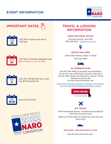## EVENT INFORMATION



# IMPORTANT DATES



LAST DAY for group room rate of

## TRAVEL & LODGING INFORMATION

## **NARO NATIONAL OFFICE**

Executive Director, Jack Fleet 800-558-0557 | [jfleet@naro-us.org](mailto:jfleet%40naro-us.org?subject=)



## **WESTIN GALLERIA**

13340 Dallas Parkway, Dallas TX 75240 (972) 934-9494



## **ACCOMMODATIONS**

Call (972) 934-9494 for overnight accommodations Group room rate is \$152/night. Last day at this rate is June 22, 2022. Rooms not reserved by June 22<sup>nd</sup> will be released for general sale. For more hotel information visit:

[https://www.marriott.com/event-reservations/reservation](https://www.marriott.com/event-reservations/reservation-link.mi?id=1643294157699&key=GRP&app=resvlin)[link.mi?id=1643294157699&key=GRP&app=resvlink](https://www.marriott.com/event-reservations/reservation-link.mi?id=1643294157699&key=GRP&app=resvlin)





DFW International Airpoirt is located approximately 18 miles from the event venue.

Dallas Love Field Airport is located 10.5 miles from the event venue.



## **GROUND TRANSPORTATION**

Uber & Lyft all service the area.





LAST DAY FOR REFUND July 5, 2022 Less \$25 Prossesing Fee

LAST DAY for standard registration rates.

Rates increase on June 24, 2022.



See you at the event!

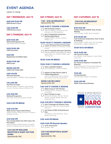## EVENT AGENDA

subject to change

## **DAY 1 WEDNESDAY, JULY 13**

8:00 AM-12:00 PM **RMM Review Course**

1:00-5:00 PM **CMM Review Course**

## **DAY 2 THURSDAY, JULY 14**

8:30-11:45 AM **Mineral Management 101** *Glen Webb, extra fee applies*

#### 9:00-10:00 AM **CMM Discussion**

9:00 AM **Registration & Exhibits Open**

10:00-11:30 AM **RMM Exams**

NOON-1:00 PM **LUNCH ON YOUR OWN**

1:00-1:15 PM **Welcome Remarks** *John B Collier V, NARO Texas President*

#### 1:15-2:00 PM

**The Price of Power**  *Michael Cooper, President Texas Energy Council; Attorney, Haynes & Boone, LLP*

2:15-3:00 PM **National Perspective** *Jack Fleet, Executive Director, NARO*

#### 3:00-3:30 PM BREAK

3:30-4:15 PM **Waltz Across Texas & New Mexico** *Phillip Dunning, Phillip Dunning, Principle & Strategy, Enverus*

#### 4:15-5:00 PM

**The Coming Battle Over Who Owns The Pore Space**

*Wade Caldwell, NARO National President, Attorney, Caldwell, East & Finlayson, PLLC*

## 5:15-7:00 PM WELCOME RECEPTION & SILENT AUCTION **OPENS**

**Sponsored By TBA**

## **DAY 3 FRIDAY, JULY 15**

7:30 – 8:30 AM BREAKFAST **Sponsored By TBA**

#### 9:00–9:50 **⊘ CHOOSE A SESSION**

 **ESG & Royalty Owners** *John W. Wallace, Chairman & CEO DeGolyer and MacNaughton*

 **How To Negotiate Production Sharing Agreements** *Reagan Marble- Partner, Jackson* 

*Walker, LLP*

#### 10:00-10:50 **≤ CHOOSE A SESSION**

 **Crypto Mining & Mineral Ownership** *Stephanie Graham Co-Founder, Cardio Crypto*

 **How To Calculate Allocation Well DOs** Includes NADOA DO template, DO Statute *Alyce Hoge, J.D., CPLTA, CDOA, Land Training LLC*

#### 10:50–11:00 PM BREAK

#### 11:00-11:50 **≤ CHOOSE A SESSION**

 **Texas Legislative Report** *Ed Longanecker, TIPRO President*



*John R. Smitherman- Senior Advisor, New Mexico Oil & Gas Association* 

#### NOON–1:30 PM LUNCH **Sponsored By TBA**

#### 1:45–2:35 CHOOSE A SESSION

 **Water Issues In The Permian** *Kimberly Wurtz- Attorney, Wurtz & Associates*



## $2:45-3:35$  PM  $\odot$  CHOOSE A SESSION

 **How To Manage Ad Valorem Taxes** *David Clay- CEO, Clay, Tuple & Aimes Advisors*

#### **Live Demo of RRC & Deed Record Stes**

*Joe Bisbey- Land Associate, Texas*  **Pacific Land Corp.** 

### 3:35–4:00 PM BREAK

#### 4:00–5:00 PM Keynote Speaker

 **To Be Announced**  *Speaker: TBA*

5:15–7:00 RECEPTION & SILENT AUCTION **Sponsored By: TBA**

## **DAY 4 SATURDAY, JULY 16**

7:30-8:30 AM BREAKFAST **Sponsored By TBA**

#### 8:30-9:10 AM

**Chapter Report & NARO Texas Annual Meeting** *John B Collier, NARO Texas President*

#### 9:10-10:00 AM

**Post Production Deductions: How To Spot & Challenge** *Clinton Butler, NARO Texas Vice President, Shareholder, Langley & Banack, Inc.*

#### 10:00-10:15 AM BREAK

#### 10:15-11:00 AM

**Life Cycle Of A Well** Jon Scheidt- Chief Engineer, Texas Pacific *Land Corp.*

#### 11:00-11:45 AM

**Do I Need an Engineer to Evaluate My Minerals?** *Cathy Norwood, P.E.,Consulting Engineer, Hickman, McClaine & Associates, Inc.*

11:45 AM **Closing Remarks** *John B Collier, NARO TX President*

12:15-1:30 PM **NARO Texas Board Meeting**

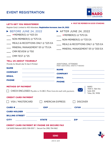## EVENT REGISTRATION



## LET'S GET YOU REGISTERED!

### \* **MUST BE MEMBER IN GOOD STANDING**

Register Early! Limited to 400 Attendees. Registration Increases June 24, 2022

| $\triangleright$ BEFORE JUNE 24, 2022                                                                                 | AFTER JUNE 24, 2022                                                                                                                                                                                                                                           |
|-----------------------------------------------------------------------------------------------------------------------|---------------------------------------------------------------------------------------------------------------------------------------------------------------------------------------------------------------------------------------------------------------|
| $\star$ MEMBER(S) @ \$425 EA                                                                                          | $\hspace{1cm}$ $\star$ MEMBER(S) @ \$575 EA                                                                                                                                                                                                                   |
| $\hspace{1.5mm}$ NON-MEMBER(S) @ \$575 EA                                                                             | $\_\_\_\_\$ NON-MEMBER(S) $@$ $^{\$}725$ EA                                                                                                                                                                                                                   |
| MEALS & RECEPTIONS ONLY $@$ <sup>\$</sup> 225 EA                                                                      | $\rule{1em}{0.15mm}$ MEALS & RECEPTIONS ONLY @ \$325 EA                                                                                                                                                                                                       |
| ____ MINERAL MANAGEMENT 101 $@$ $^{\$}$ 75 EA                                                                         | $\_\_\_\$ MINERAL MANAGEMENT 101 @ $^{\$}$ 200 EA                                                                                                                                                                                                             |
| $\frac{1}{2}$ CMM REVIEW @ \$150                                                                                      |                                                                                                                                                                                                                                                               |
| $\rule{1em}{0.15mm}$ CMM TEST @ $\$25$                                                                                |                                                                                                                                                                                                                                                               |
| <b>TELL US ABOUT YOURSELF</b>                                                                                         |                                                                                                                                                                                                                                                               |
| Provide As Would Like To See It Printed                                                                               | ADDITIONAL ATTENDEE<br>PRINT ADDITIONAL SHEETS IF NEEDED                                                                                                                                                                                                      |
| <b>NAME</b>                                                                                                           | <b>NAME</b>                                                                                                                                                                                                                                                   |
| <b>COMPANY</b>                                                                                                        | <b>COMPANY</b>                                                                                                                                                                                                                                                |
| <b>EMAIL</b>                                                                                                          | <b>EMAIL</b>                                                                                                                                                                                                                                                  |
| <b>PHONE</b>                                                                                                          | <b>PHONE</b>                                                                                                                                                                                                                                                  |
| <b>METHOD OF PAYMENT</b>                                                                                              | <b>NARO</b>                                                                                                                                                                                                                                                   |
| 7030 S. Yale Ave.<br>CHECK ENCLOSED Payable to NARO. Print form & mail with payment.<br>Suite 404<br>Tulsa, OK, 74136 |                                                                                                                                                                                                                                                               |
| <b>CREDIT CARD PAYMENT</b>                                                                                            |                                                                                                                                                                                                                                                               |
| VISA / MASTERCARD                                                                                                     | <b>AMERICAN EXPRESS</b><br><b>DISCOVER</b>                                                                                                                                                                                                                    |
|                                                                                                                       | $EXP$ and $EXP$ and $EXP$ and $EXP$ and $EXP$ and $EXP$ and $EXP$ and $EXP$ and $EXP$ and $EXP$ and $EXP$ and $EXP$ and $EXP$ and $EXP$ and $EXP$ and $EXP$ and $EXP$ and $EXP$ and $EXP$ and $EXP$ and $EXP$ and $EXP$ and $EXP$ and $EXP$ and $EXP$<br>CVV# |
| <b>CARD HOLDER</b>                                                                                                    |                                                                                                                                                                                                                                                               |
| <b>BILLING STREET EXAMPLE THE STREET STATE OF A STREET STREET STATE OF A STREET STATE OF A STREET STATE OF A ST</b>   |                                                                                                                                                                                                                                                               |
| <b>STATE</b><br><b>CITY</b>                                                                                           | <b>ZIP</b>                                                                                                                                                                                                                                                    |
| <b>CREDIT CARD PAYMENT BY PHONE OR SECURE FAX</b>                                                                     |                                                                                                                                                                                                                                                               |
| Call NARO National (800) 558-0557   Secure Fax (918) 794-1662                                                         |                                                                                                                                                                                                                                                               |